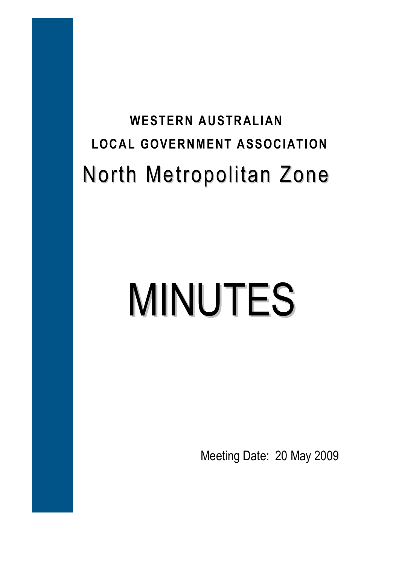## **WESTERN AUSTRALIAN LOCAL GOVERNMENT ASSOCIATION**  North Metropolitan Zone

# MINUTES

Meeting Date: 20 May 2009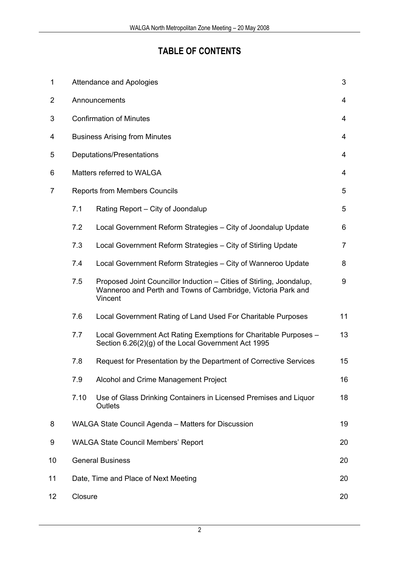#### **TABLE OF CONTENTS**

| $\mathbf 1$    |                                            | 3<br><b>Attendance and Apologies</b>                                                                                                            |    |  |  |
|----------------|--------------------------------------------|-------------------------------------------------------------------------------------------------------------------------------------------------|----|--|--|
| 2              |                                            | Announcements<br>4                                                                                                                              |    |  |  |
| 3              |                                            | <b>Confirmation of Minutes</b><br>4                                                                                                             |    |  |  |
| 4              |                                            | <b>Business Arising from Minutes</b><br>4                                                                                                       |    |  |  |
| 5              |                                            | Deputations/Presentations<br>4                                                                                                                  |    |  |  |
| 6              | Matters referred to WALGA<br>4             |                                                                                                                                                 |    |  |  |
| $\overline{7}$ | <b>Reports from Members Councils</b>       |                                                                                                                                                 |    |  |  |
|                | 7.1                                        | Rating Report - City of Joondalup                                                                                                               | 5  |  |  |
|                | 7.2                                        | Local Government Reform Strategies - City of Joondalup Update                                                                                   | 6  |  |  |
|                | 7.3                                        | Local Government Reform Strategies - City of Stirling Update                                                                                    | 7  |  |  |
|                | 7.4                                        | Local Government Reform Strategies - City of Wanneroo Update                                                                                    | 8  |  |  |
|                | 7.5                                        | Proposed Joint Councillor Induction - Cities of Stirling, Joondalup,<br>Wanneroo and Perth and Towns of Cambridge, Victoria Park and<br>Vincent | 9  |  |  |
|                | 7.6                                        | Local Government Rating of Land Used For Charitable Purposes                                                                                    | 11 |  |  |
|                | 7.7                                        | Local Government Act Rating Exemptions for Charitable Purposes -<br>Section 6.26(2)(g) of the Local Government Act 1995                         | 13 |  |  |
|                | 7.8                                        | Request for Presentation by the Department of Corrective Services                                                                               | 15 |  |  |
|                | 7.9                                        | Alcohol and Crime Management Project                                                                                                            | 16 |  |  |
|                | 7.10                                       | Use of Glass Drinking Containers in Licensed Premises and Liquor<br>Outlets                                                                     | 18 |  |  |
| 8              |                                            | WALGA State Council Agenda - Matters for Discussion<br>19                                                                                       |    |  |  |
| 9              | <b>WALGA State Council Members' Report</b> |                                                                                                                                                 | 20 |  |  |
| 10             | <b>General Business</b><br>20              |                                                                                                                                                 |    |  |  |
| 11             | Date, Time and Place of Next Meeting<br>20 |                                                                                                                                                 |    |  |  |
| 12             |                                            | Closure<br>20                                                                                                                                   |    |  |  |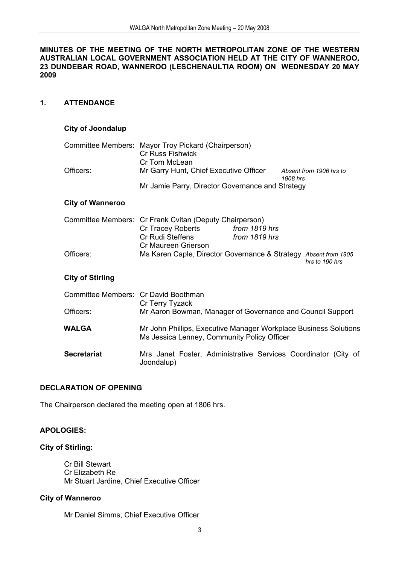#### **MINUTES OF THE MEETING OF THE NORTH METROPOLITAN ZONE OF THE WESTERN AUSTRALIAN LOCAL GOVERNMENT ASSOCIATION HELD AT THE CITY OF WANNEROO, 23 DUNDEBAR ROAD, WANNEROO (LESCHENAULTIA ROOM) ON WEDNESDAY 20 MAY 2009**

#### **1. ATTENDANCE**

#### **City of Joondalup**

|           | Committee Members: Mayor Troy Pickard (Chairperson) |                                     |
|-----------|-----------------------------------------------------|-------------------------------------|
|           | <b>Cr Russ Fishwick</b>                             |                                     |
|           | Cr Tom McLean                                       |                                     |
| Officers: | Mr Garry Hunt, Chief Executive Officer              | Absent from 1906 hrs to<br>1908 hrs |
|           | Mr Jamie Parry, Director Governance and Strategy    |                                     |

#### **City of Wanneroo**

|           | Committee Members: Cr Frank Cvitan (Deputy Chairperson)         |               |                |
|-----------|-----------------------------------------------------------------|---------------|----------------|
|           | Cr Tracey Roberts                                               | from 1819 hrs |                |
|           | Cr Rudi Steffens<br>Cr Maureen Grierson                         | from 1819 hrs |                |
|           |                                                                 |               |                |
| Officers: | Ms Karen Caple, Director Governance & Strategy Absent from 1905 |               | hrs to 190 hrs |

#### **City of Stirling**

| Committee Members: Cr David Boothman | Cr Terry Tyzack                                                                                                 |  |  |  |
|--------------------------------------|-----------------------------------------------------------------------------------------------------------------|--|--|--|
| Officers:                            | Mr Aaron Bowman, Manager of Governance and Council Support                                                      |  |  |  |
| WALGA                                | Mr John Phillips, Executive Manager Workplace Business Solutions<br>Ms Jessica Lenney, Community Policy Officer |  |  |  |
| <b>Secretariat</b>                   | Mrs Janet Foster, Administrative Services Coordinator (City of<br>Joondalup)                                    |  |  |  |

#### **DECLARATION OF OPENING**

The Chairperson declared the meeting open at 1806 hrs.

#### **APOLOGIES:**

#### **City of Stirling:**

Cr Bill Stewart Cr Elizabeth Re Mr Stuart Jardine, Chief Executive Officer

#### **City of Wanneroo**

Mr Daniel Simms, Chief Executive Officer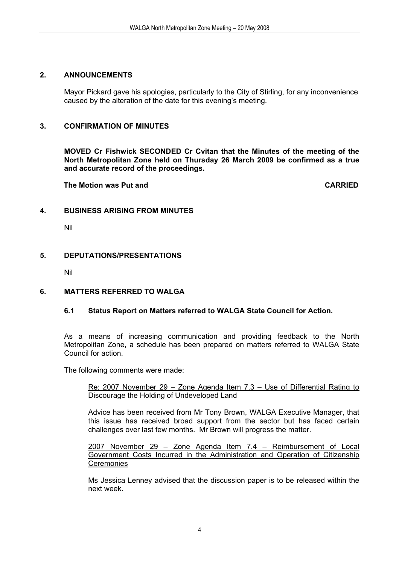#### **2. ANNOUNCEMENTS**

Mayor Pickard gave his apologies, particularly to the City of Stirling, for any inconvenience caused by the alteration of the date for this evening's meeting.

#### **3. CONFIRMATION OF MINUTES**

**MOVED Cr Fishwick SECONDED Cr Cvitan that the Minutes of the meeting of the North Metropolitan Zone held on Thursday 26 March 2009 be confirmed as a true and accurate record of the proceedings.** 

 **The Motion was Put and CARRIED** 

#### **4. BUSINESS ARISING FROM MINUTES**

Nil

#### **5. DEPUTATIONS/PRESENTATIONS**

Nil

#### **6. MATTERS REFERRED TO WALGA**

#### **6.1 Status Report on Matters referred to WALGA State Council for Action.**

As a means of increasing communication and providing feedback to the North Metropolitan Zone, a schedule has been prepared on matters referred to WALGA State Council for action.

The following comments were made:

Re: 2007 November 29 – Zone Agenda Item 7.3 – Use of Differential Rating to Discourage the Holding of Undeveloped Land

Advice has been received from Mr Tony Brown, WALGA Executive Manager, that this issue has received broad support from the sector but has faced certain challenges over last few months. Mr Brown will progress the matter.

2007 November 29 – Zone Agenda Item 7.4 – Reimbursement of Local Government Costs Incurred in the Administration and Operation of Citizenship **Ceremonies** 

Ms Jessica Lenney advised that the discussion paper is to be released within the next week.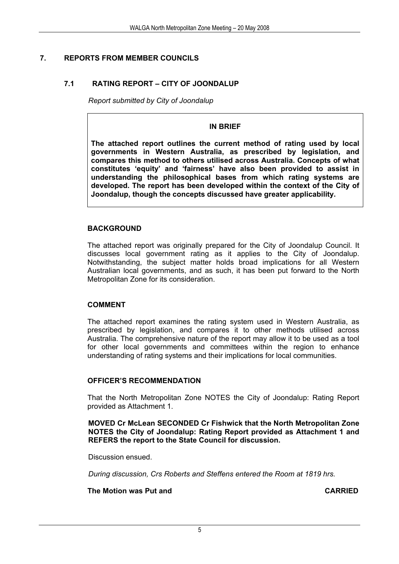#### **7. REPORTS FROM MEMBER COUNCILS**

#### **7.1 RATING REPORT – CITY OF JOONDALUP**

*Report submitted by City of Joondalup* 

#### **IN BRIEF**

**The attached report outlines the current method of rating used by local governments in Western Australia, as prescribed by legislation, and compares this method to others utilised across Australia. Concepts of what constitutes 'equity' and 'fairness' have also been provided to assist in understanding the philosophical bases from which rating systems are developed. The report has been developed within the context of the City of Joondalup, though the concepts discussed have greater applicability.** 

#### **BACKGROUND**

The attached report was originally prepared for the City of Joondalup Council. It discusses local government rating as it applies to the City of Joondalup. Notwithstanding, the subject matter holds broad implications for all Western Australian local governments, and as such, it has been put forward to the North Metropolitan Zone for its consideration.

#### **COMMENT**

The attached report examines the rating system used in Western Australia, as prescribed by legislation, and compares it to other methods utilised across Australia. The comprehensive nature of the report may allow it to be used as a tool for other local governments and committees within the region to enhance understanding of rating systems and their implications for local communities.

#### **OFFICER'S RECOMMENDATION**

That the North Metropolitan Zone NOTES the City of Joondalup: Rating Report provided as Attachment 1.

**MOVED Cr McLean SECONDED Cr Fishwick that the North Metropolitan Zone NOTES the City of Joondalup: Rating Report provided as Attachment 1 and REFERS the report to the State Council for discussion.** 

Discussion ensued.

*During discussion, Crs Roberts and Steffens entered the Room at 1819 hrs.* 

 **The Motion was Put and CARRIED**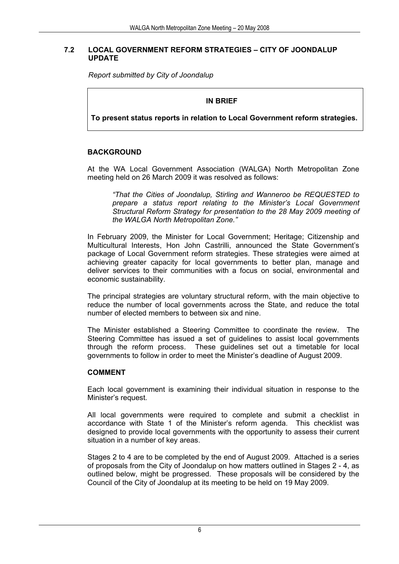#### **7.2 LOCAL GOVERNMENT REFORM STRATEGIES – CITY OF JOONDALUP UPDATE**

*Report submitted by City of Joondalup* 

#### **IN BRIEF**

**To present status reports in relation to Local Government reform strategies.** 

#### **BACKGROUND**

At the WA Local Government Association (WALGA) North Metropolitan Zone meeting held on 26 March 2009 it was resolved as follows:

*"That the Cities of Joondalup, Stirling and Wanneroo be REQUESTED to prepare a status report relating to the Minister's Local Government Structural Reform Strategy for presentation to the 28 May 2009 meeting of the WALGA North Metropolitan Zone."* 

In February 2009, the Minister for Local Government; Heritage; Citizenship and Multicultural Interests, Hon John Castrilli, announced the State Government's package of Local Government reform strategies. These strategies were aimed at achieving greater capacity for local governments to better plan, manage and deliver services to their communities with a focus on social, environmental and economic sustainability.

The principal strategies are voluntary structural reform, with the main objective to reduce the number of local governments across the State, and reduce the total number of elected members to between six and nine.

The Minister established a Steering Committee to coordinate the review. The Steering Committee has issued a set of guidelines to assist local governments through the reform process. These guidelines set out a timetable for local governments to follow in order to meet the Minister's deadline of August 2009.

#### **COMMENT**

Each local government is examining their individual situation in response to the Minister's request.

All local governments were required to complete and submit a checklist in accordance with State 1 of the Minister's reform agenda. This checklist was designed to provide local governments with the opportunity to assess their current situation in a number of key areas.

Stages 2 to 4 are to be completed by the end of August 2009. Attached is a series of proposals from the City of Joondalup on how matters outlined in Stages 2 - 4, as outlined below, might be progressed. These proposals will be considered by the Council of the City of Joondalup at its meeting to be held on 19 May 2009.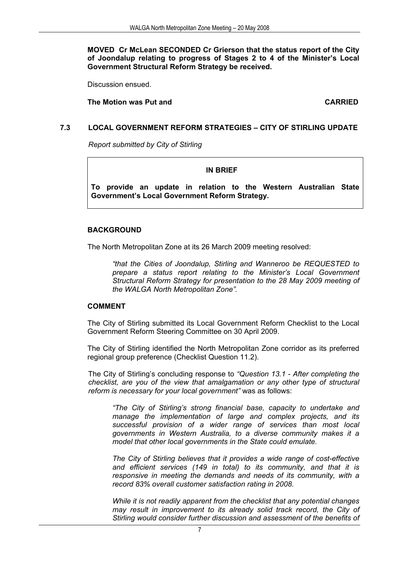**MOVED Cr McLean SECONDED Cr Grierson that the status report of the City of Joondalup relating to progress of Stages 2 to 4 of the Minister's Local Government Structural Reform Strategy be received.**

Discussion ensued.

**The Motion was Put and CARRIED CARRIED** 

#### **7.3 LOCAL GOVERNMENT REFORM STRATEGIES – CITY OF STIRLING UPDATE**

*Report submitted by City of Stirling* 

#### **IN BRIEF**

**To provide an update in relation to the Western Australian State Government's Local Government Reform Strategy.** 

#### **BACKGROUND**

The North Metropolitan Zone at its 26 March 2009 meeting resolved:

*"that the Cities of Joondalup, Stirling and Wanneroo be REQUESTED to prepare a status report relating to the Minister's Local Government Structural Reform Strategy for presentation to the 28 May 2009 meeting of the WALGA North Metropolitan Zone".*

#### **COMMENT**

The City of Stirling submitted its Local Government Reform Checklist to the Local Government Reform Steering Committee on 30 April 2009.

The City of Stirling identified the North Metropolitan Zone corridor as its preferred regional group preference (Checklist Question 11.2).

The City of Stirling's concluding response to *"Question 13.1 - After completing the checklist, are you of the view that amalgamation or any other type of structural reform is necessary for your local government"* was as follows:

*"The City of Stirling's strong financial base, capacity to undertake and manage the implementation of large and complex projects, and its successful provision of a wider range of services than most local governments in Western Australia, to a diverse community makes it a model that other local governments in the State could emulate.* 

*The City of Stirling believes that it provides a wide range of cost-effective and efficient services (149 in total) to its community, and that it is responsive in meeting the demands and needs of its community, with a record 83% overall customer satisfaction rating in 2008.* 

*While it is not readily apparent from the checklist that any potential changes may result in improvement to its already solid track record, the City of Stirling would consider further discussion and assessment of the benefits of*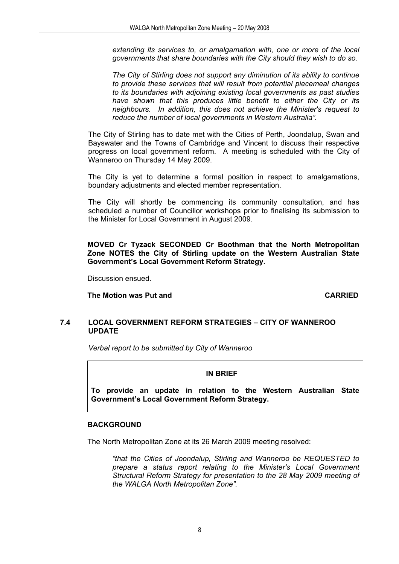*extending its services to, or amalgamation with, one or more of the local governments that share boundaries with the City should they wish to do so.* 

*The City of Stirling does not support any diminution of its ability to continue to provide these services that will result from potential piecemeal changes to its boundaries with adjoining existing local governments as past studies have shown that this produces little benefit to either the City or its neighbours. In addition, this does not achieve the Minister's request to reduce the number of local governments in Western Australia".* 

The City of Stirling has to date met with the Cities of Perth, Joondalup, Swan and Bayswater and the Towns of Cambridge and Vincent to discuss their respective progress on local government reform. A meeting is scheduled with the City of Wanneroo on Thursday 14 May 2009.

The City is yet to determine a formal position in respect to amalgamations, boundary adjustments and elected member representation.

The City will shortly be commencing its community consultation, and has scheduled a number of Councillor workshops prior to finalising its submission to the Minister for Local Government in August 2009.

**MOVED Cr Tyzack SECONDED Cr Boothman that the North Metropolitan Zone NOTES the City of Stirling update on the Western Australian State Government's Local Government Reform Strategy.** 

Discussion ensued.

**The Motion was Put and CARRIED** 

#### **7.4 LOCAL GOVERNMENT REFORM STRATEGIES – CITY OF WANNEROO UPDATE**

*Verbal report to be submitted by City of Wanneroo* 

#### **IN BRIEF**

**To provide an update in relation to the Western Australian State Government's Local Government Reform Strategy.** 

#### **BACKGROUND**

The North Metropolitan Zone at its 26 March 2009 meeting resolved:

*"that the Cities of Joondalup, Stirling and Wanneroo be REQUESTED to prepare a status report relating to the Minister's Local Government Structural Reform Strategy for presentation to the 28 May 2009 meeting of the WALGA North Metropolitan Zone".*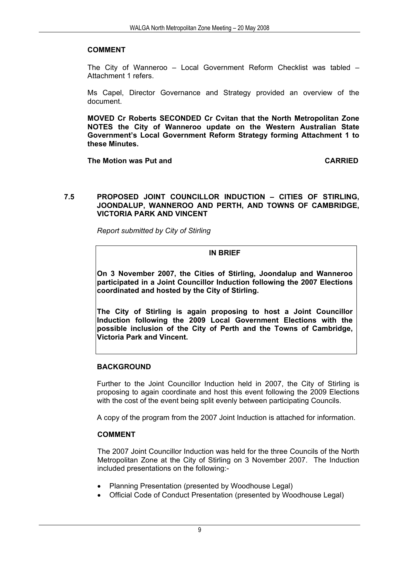#### **COMMENT**

The City of Wanneroo – Local Government Reform Checklist was tabled – Attachment 1 refers.

Ms Capel, Director Governance and Strategy provided an overview of the document.

**MOVED Cr Roberts SECONDED Cr Cvitan that the North Metropolitan Zone NOTES the City of Wanneroo update on the Western Australian State Government's Local Government Reform Strategy forming Attachment 1 to these Minutes.** 

**The Motion was Put and CARRIED** 

#### **7.5 PROPOSED JOINT COUNCILLOR INDUCTION – CITIES OF STIRLING, JOONDALUP, WANNEROO AND PERTH, AND TOWNS OF CAMBRIDGE, VICTORIA PARK AND VINCENT**

*Report submitted by City of Stirling* 

#### **IN BRIEF**

**On 3 November 2007, the Cities of Stirling, Joondalup and Wanneroo participated in a Joint Councillor Induction following the 2007 Elections coordinated and hosted by the City of Stirling.** 

**The City of Stirling is again proposing to host a Joint Councillor Induction following the 2009 Local Government Elections with the possible inclusion of the City of Perth and the Towns of Cambridge, Victoria Park and Vincent.** 

#### **BACKGROUND**

Further to the Joint Councillor Induction held in 2007, the City of Stirling is proposing to again coordinate and host this event following the 2009 Elections with the cost of the event being split evenly between participating Councils.

A copy of the program from the 2007 Joint Induction is attached for information.

#### **COMMENT**

The 2007 Joint Councillor Induction was held for the three Councils of the North Metropolitan Zone at the City of Stirling on 3 November 2007. The Induction included presentations on the following:-

- Planning Presentation (presented by Woodhouse Legal)
- Official Code of Conduct Presentation (presented by Woodhouse Legal)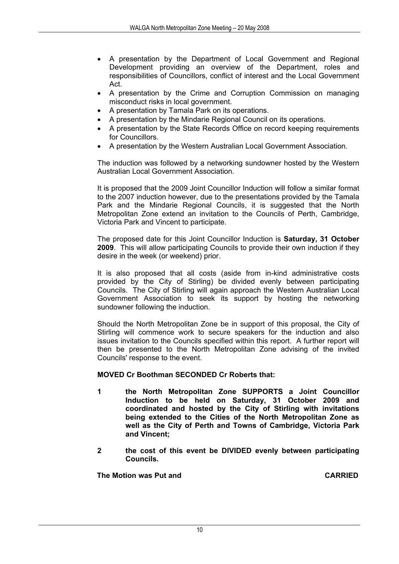- A presentation by the Department of Local Government and Regional Development providing an overview of the Department, roles and responsibilities of Councillors, conflict of interest and the Local Government Act.
- A presentation by the Crime and Corruption Commission on managing misconduct risks in local government.
- A presentation by Tamala Park on its operations.
- A presentation by the Mindarie Regional Council on its operations.
- A presentation by the State Records Office on record keeping requirements for Councillors.
- A presentation by the Western Australian Local Government Association.

The induction was followed by a networking sundowner hosted by the Western Australian Local Government Association.

It is proposed that the 2009 Joint Councillor Induction will follow a similar format to the 2007 induction however, due to the presentations provided by the Tamala Park and the Mindarie Regional Councils, it is suggested that the North Metropolitan Zone extend an invitation to the Councils of Perth, Cambridge, Victoria Park and Vincent to participate.

The proposed date for this Joint Councillor Induction is **Saturday, 31 October 2009**. This will allow participating Councils to provide their own induction if they desire in the week (or weekend) prior.

It is also proposed that all costs (aside from in-kind administrative costs provided by the City of Stirling) be divided evenly between participating Councils. The City of Stirling will again approach the Western Australian Local Government Association to seek its support by hosting the networking sundowner following the induction.

Should the North Metropolitan Zone be in support of this proposal, the City of Stirling will commence work to secure speakers for the induction and also issues invitation to the Councils specified within this report. A further report will then be presented to the North Metropolitan Zone advising of the invited Councils' response to the event.

#### **MOVED Cr Boothman SECONDED Cr Roberts that:**

- **1 the North Metropolitan Zone SUPPORTS a Joint Councillor Induction to be held on Saturday, 31 October 2009 and coordinated and hosted by the City of Stirling with invitations being extended to the Cities of the North Metropolitan Zone as well as the City of Perth and Towns of Cambridge, Victoria Park and Vincent;**
- **2 the cost of this event be DIVIDED evenly between participating Councils.**

 **The Motion was Put and CARRIED**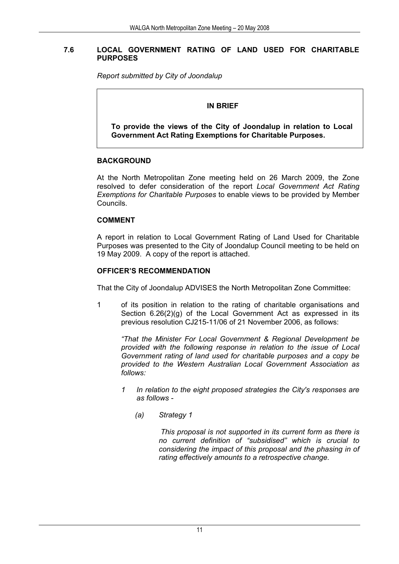#### **7.6 LOCAL GOVERNMENT RATING OF LAND USED FOR CHARITABLE PURPOSES**

*Report submitted by City of Joondalup* 

#### **IN BRIEF**

**To provide the views of the City of Joondalup in relation to Local Government Act Rating Exemptions for Charitable Purposes.** 

#### **BACKGROUND**

At the North Metropolitan Zone meeting held on 26 March 2009, the Zone resolved to defer consideration of the report *Local Government Act Rating Exemptions for Charitable Purposes* to enable views to be provided by Member Councils.

#### **COMMENT**

 A report in relation to Local Government Rating of Land Used for Charitable Purposes was presented to the City of Joondalup Council meeting to be held on 19 May 2009. A copy of the report is attached.

#### **OFFICER'S RECOMMENDATION**

That the City of Joondalup ADVISES the North Metropolitan Zone Committee:

1 of its position in relation to the rating of charitable organisations and Section 6.26(2)(g) of the Local Government Act as expressed in its previous resolution CJ215-11/06 of 21 November 2006, as follows:

*"That the Minister For Local Government & Regional Development be provided with the following response in relation to the issue of Local Government rating of land used for charitable purposes and a copy be provided to the Western Australian Local Government Association as follows:* 

- *1 In relation to the eight proposed strategies the City's responses are as follows -* 
	- *(a) Strategy 1*

 *This proposal is not supported in its current form as there is no current definition of "subsidised" which is crucial to considering the impact of this proposal and the phasing in of rating effectively amounts to a retrospective change.*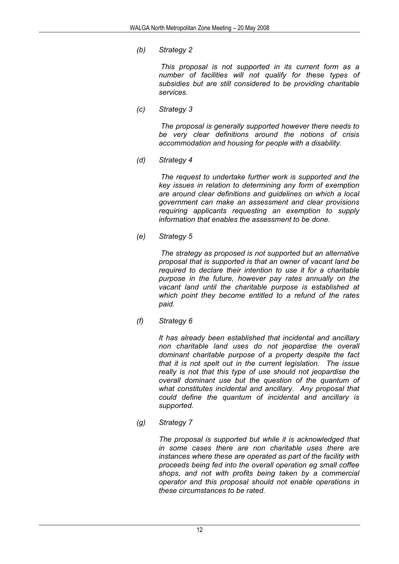*(b) Strategy 2* 

 *This proposal is not supported in its current form as a number of facilities will not qualify for these types of subsidies but are still considered to be providing charitable services.* 

 *(c) Strategy 3* 

 *The proposal is generally supported however there needs to be very clear definitions around the notions of crisis accommodation and housing for people with a disability.* 

 *(d) Strategy 4* 

 *The request to undertake further work is supported and the key issues in relation to determining any form of exemption are around clear definitions and guidelines on which a local government can make an assessment and clear provisions requiring applicants requesting an exemption to supply information that enables the assessment to be done.* 

*(e) Strategy 5* 

 *The strategy as proposed is not supported but an alternative proposal that is supported is that an owner of vacant land be required to declare their intention to use it for a charitable purpose in the future, however pay rates annually on the vacant land until the charitable purpose is established at which point they become entitled to a refund of the rates paid.* 

 *(f) Strategy 6* 

 *It has already been established that incidental and ancillary non charitable land uses do not jeopardise the overall dominant charitable purpose of a property despite the fact that it is not spelt out in the current legislation. The issue really is not that this type of use should not jeopardise the overall dominant use but the question of the quantum of what constitutes incidental and ancillary. Any proposal that could define the quantum of incidental and ancillary is supported.* 

*(g) Strategy 7* 

 *The proposal is supported but while it is acknowledged that in some cases there are non charitable uses there are instances where these are operated as part of the facility with proceeds being fed into the overall operation eg small coffee shops, and not with profits being taken by a commercial operator and this proposal should not enable operations in these circumstances to be rated.*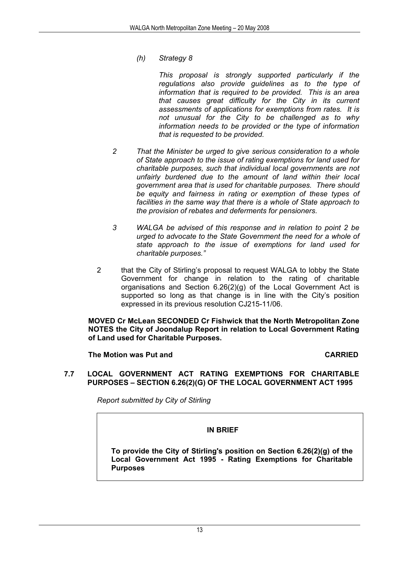*(h) Strategy 8* 

 *This proposal is strongly supported particularly if the regulations also provide guidelines as to the type of information that is required to be provided. This is an area that causes great difficulty for the City in its current assessments of applications for exemptions from rates. It is not unusual for the City to be challenged as to why information needs to be provided or the type of information that is requested to be provided.* 

- *2 That the Minister be urged to give serious consideration to a whole of State approach to the issue of rating exemptions for land used for charitable purposes, such that individual local governments are not unfairly burdened due to the amount of land within their local government area that is used for charitable purposes. There should be equity and fairness in rating or exemption of these types of facilities in the same way that there is a whole of State approach to the provision of rebates and deferments for pensioners.*
- *3 WALGA be advised of this response and in relation to point 2 be urged to advocate to the State Government the need for a whole of state approach to the issue of exemptions for land used for charitable purposes."*
- 2 that the City of Stirling's proposal to request WALGA to lobby the State Government for change in relation to the rating of charitable organisations and Section 6.26(2)(g) of the Local Government Act is supported so long as that change is in line with the City's position expressed in its previous resolution CJ215-11/06.

 **MOVED Cr McLean SECONDED Cr Fishwick that the North Metropolitan Zone NOTES the City of Joondalup Report in relation to Local Government Rating of Land used for Charitable Purposes.** 

**The Motion was Put and CARRIED** 

**7.7 LOCAL GOVERNMENT ACT RATING EXEMPTIONS FOR CHARITABLE PURPOSES – SECTION 6.26(2)(G) OF THE LOCAL GOVERNMENT ACT 1995** 

*Report submitted by City of Stirling* 

#### **IN BRIEF**

**To provide the City of Stirling's position on Section 6.26(2)(g) of the Local Government Act 1995 - Rating Exemptions for Charitable Purposes**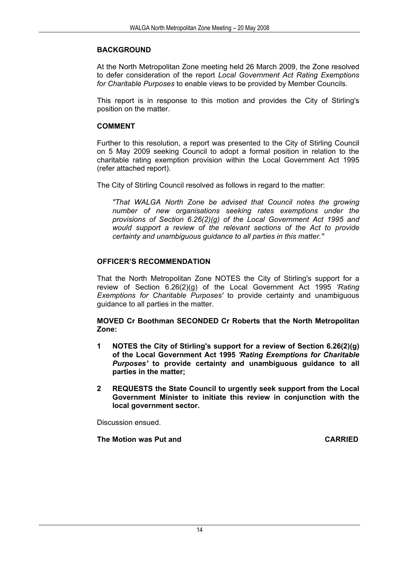#### **BACKGROUND**

At the North Metropolitan Zone meeting held 26 March 2009, the Zone resolved to defer consideration of the report *Local Government Act Rating Exemptions for Charitable Purposes* to enable views to be provided by Member Councils.

This report is in response to this motion and provides the City of Stirling's position on the matter.

#### **COMMENT**

Further to this resolution, a report was presented to the City of Stirling Council on 5 May 2009 seeking Council to adopt a formal position in relation to the charitable rating exemption provision within the Local Government Act 1995 (refer attached report).

The City of Stirling Council resolved as follows in regard to the matter:

*"That WALGA North Zone be advised that Council notes the growing number of new organisations seeking rates exemptions under the provisions of Section 6.26(2)(g) of the Local Government Act 1995 and would support a review of the relevant sections of the Act to provide certainty and unambiguous guidance to all parties in this matter."* 

#### **OFFICER'S RECOMMENDATION**

That the North Metropolitan Zone NOTES the City of Stirling's support for a review of Section 6.26(2)(g) of the Local Government Act 1995 *'Rating Exemptions for Charitable Purposes'* to provide certainty and unambiguous guidance to all parties in the matter.

**MOVED Cr Boothman SECONDED Cr Roberts that the North Metropolitan Zone:** 

- **1 NOTES the City of Stirling's support for a review of Section 6.26(2)(g) of the Local Government Act 1995** *'Rating Exemptions for Charitable Purposes'* **to provide certainty and unambiguous guidance to all parties in the matter;**
- **2 REQUESTS the State Council to urgently seek support from the Local Government Minister to initiate this review in conjunction with the local government sector.**

Discussion ensued.

**The Motion was Put and CARRIED CARRIED**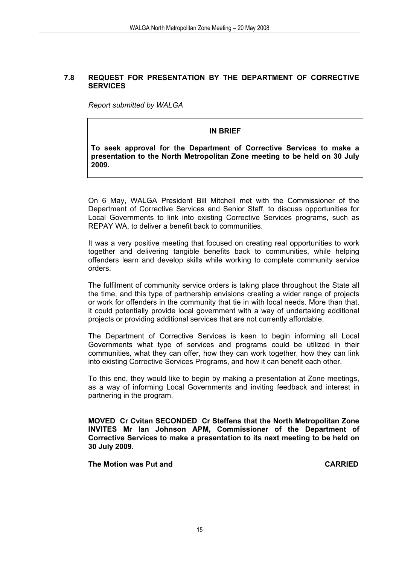#### **7.8 REQUEST FOR PRESENTATION BY THE DEPARTMENT OF CORRECTIVE SERVICES**

*Report submitted by WALGA* 

#### **IN BRIEF**

**To seek approval for the Department of Corrective Services to make a presentation to the North Metropolitan Zone meeting to be held on 30 July 2009.** 

On 6 May, WALGA President Bill Mitchell met with the Commissioner of the Department of Corrective Services and Senior Staff, to discuss opportunities for Local Governments to link into existing Corrective Services programs, such as REPAY WA, to deliver a benefit back to communities.

It was a very positive meeting that focused on creating real opportunities to work together and delivering tangible benefits back to communities, while helping offenders learn and develop skills while working to complete community service orders.

The fulfilment of community service orders is taking place throughout the State all the time, and this type of partnership envisions creating a wider range of projects or work for offenders in the community that tie in with local needs. More than that, it could potentially provide local government with a way of undertaking additional projects or providing additional services that are not currently affordable.

The Department of Corrective Services is keen to begin informing all Local Governments what type of services and programs could be utilized in their communities, what they can offer, how they can work together, how they can link into existing Corrective Services Programs, and how it can benefit each other.

To this end, they would like to begin by making a presentation at Zone meetings, as a way of informing Local Governments and inviting feedback and interest in partnering in the program.

**MOVED Cr Cvitan SECONDED Cr Steffens that the North Metropolitan Zone INVITES Mr Ian Johnson APM, Commissioner of the Department of Corrective Services to make a presentation to its next meeting to be held on 30 July 2009.** 

**The Motion was Put and CARRIED CARRIED**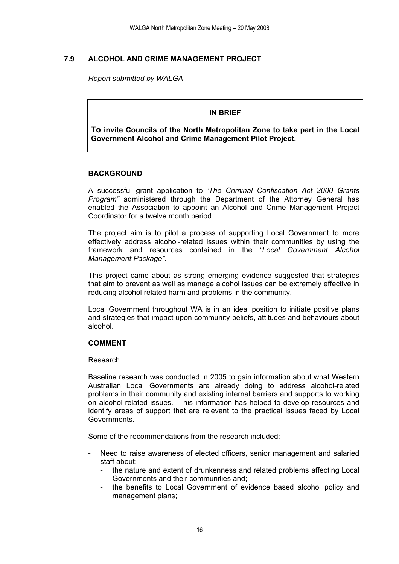#### **7.9 ALCOHOL AND CRIME MANAGEMENT PROJECT**

*Report submitted by WALGA* 

#### **IN BRIEF**

**To invite Councils of the North Metropolitan Zone to take part in the Local Government Alcohol and Crime Management Pilot Project.**

#### **BACKGROUND**

A successful grant application to *'The Criminal Confiscation Act 2000 Grants Program"* administered through the Department of the Attorney General has enabled the Association to appoint an Alcohol and Crime Management Project Coordinator for a twelve month period.

The project aim is to pilot a process of supporting Local Government to more effectively address alcohol-related issues within their communities by using the framework and resources contained in the *"Local Government Alcohol Management Package".* 

This project came about as strong emerging evidence suggested that strategies that aim to prevent as well as manage alcohol issues can be extremely effective in reducing alcohol related harm and problems in the community.

Local Government throughout WA is in an ideal position to initiate positive plans and strategies that impact upon community beliefs, attitudes and behaviours about alcohol.

#### **COMMENT**

#### Research

Baseline research was conducted in 2005 to gain information about what Western Australian Local Governments are already doing to address alcohol-related problems in their community and existing internal barriers and supports to working on alcohol-related issues. This information has helped to develop resources and identify areas of support that are relevant to the practical issues faced by Local **Governments** 

Some of the recommendations from the research included:

- Need to raise awareness of elected officers, senior management and salaried staff about:
	- the nature and extent of drunkenness and related problems affecting Local Governments and their communities and;
	- the benefits to Local Government of evidence based alcohol policy and management plans;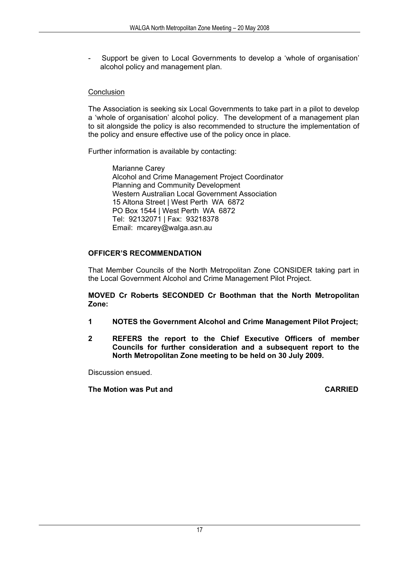Support be given to Local Governments to develop a 'whole of organisation' alcohol policy and management plan.

#### Conclusion

The Association is seeking six Local Governments to take part in a pilot to develop a 'whole of organisation' alcohol policy. The development of a management plan to sit alongside the policy is also recommended to structure the implementation of the policy and ensure effective use of the policy once in place.

Further information is available by contacting:

Marianne Carey Alcohol and Crime Management Project Coordinator Planning and Community Development Western Australian Local Government Association 15 Altona Street | West Perth WA 6872 PO Box 1544 | West Perth WA 6872 Tel: 92132071 | Fax: 93218378 Email: mcarey@walga.asn.au

#### **OFFICER'S RECOMMENDATION**

That Member Councils of the North Metropolitan Zone CONSIDER taking part in the Local Government Alcohol and Crime Management Pilot Project.

**MOVED Cr Roberts SECONDED Cr Boothman that the North Metropolitan Zone:** 

- **1 NOTES the Government Alcohol and Crime Management Pilot Project;**
- **2 REFERS the report to the Chief Executive Officers of member Councils for further consideration and a subsequent report to the North Metropolitan Zone meeting to be held on 30 July 2009.**

Discussion ensued.

**The Motion was Put and CARRIED**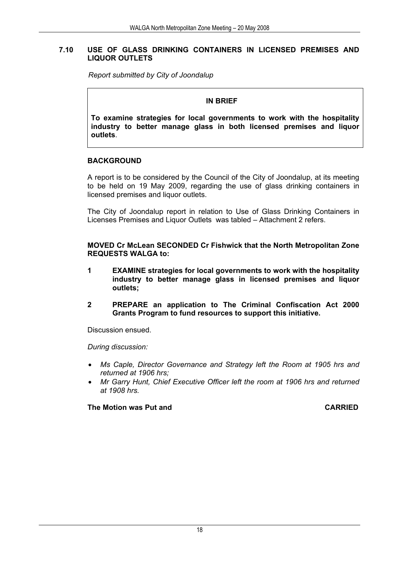#### **7.10 USE OF GLASS DRINKING CONTAINERS IN LICENSED PREMISES AND LIQUOR OUTLETS**

*Report submitted by City of Joondalup* 

#### **IN BRIEF**

**To examine strategies for local governments to work with the hospitality industry to better manage glass in both licensed premises and liquor outlets**.

#### **BACKGROUND**

A report is to be considered by the Council of the City of Joondalup, at its meeting to be held on 19 May 2009, regarding the use of glass drinking containers in licensed premises and liquor outlets.

The City of Joondalup report in relation to Use of Glass Drinking Containers in Licenses Premises and Liquor Outlets was tabled – Attachment 2 refers.

**MOVED Cr McLean SECONDED Cr Fishwick that the North Metropolitan Zone REQUESTS WALGA to:** 

- **1 EXAMINE strategies for local governments to work with the hospitality industry to better manage glass in licensed premises and liquor outlets;**
- **2 PREPARE an application to The Criminal Confiscation Act 2000 Grants Program to fund resources to support this initiative.**

Discussion ensued.

*During discussion:* 

- *Ms Caple, Director Governance and Strategy left the Room at 1905 hrs and returned at 1906 hrs;*
- *Mr Garry Hunt, Chief Executive Officer left the room at 1906 hrs and returned at 1908 hrs.*

**The Motion was Put and CARRIED**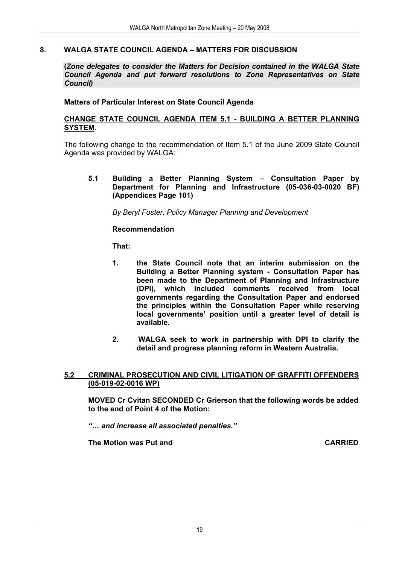#### **8. WALGA STATE COUNCIL AGENDA – MATTERS FOR DISCUSSION**

**(***Zone delegates to consider the Matters for Decision contained in the WALGA State Council Agenda and put forward resolutions to Zone Representatives on State Council)*

#### **Matters of Particular Interest on State Council Agenda**

#### **CHANGE STATE COUNCIL AGENDA ITEM 5.1 - BUILDING A BETTER PLANNING SYSTEM**.

The following change to the recommendation of Item 5.1 of the June 2009 State Council Agenda was provided by WALGA:

**5.1 Building a Better Planning System – Consultation Paper by Department for Planning and Infrastructure (05-036-03-0020 BF) (Appendices Page 101)** 

*By Beryl Foster, Policy Manager Planning and Development* 

#### **Recommendation**

**That:** 

- **1. the State Council note that an interim submission on the Building a Better Planning system - Consultation Paper has been made to the Department of Planning and Infrastructure (DPI), which included comments received from local governments regarding the Consultation Paper and endorsed the principles within the Consultation Paper while reserving local governments' position until a greater level of detail is available.**
- **2. WALGA seek to work in partnership with DPI to clarify the detail and progress planning reform in Western Australia.**

#### **5.2 CRIMINAL PROSECUTION AND CIVIL LITIGATION OF GRAFFITI OFFENDERS (05-019-02-0016 WP)**

 **MOVED Cr Cvitan SECONDED Cr Grierson that the following words be added to the end of Point 4 of the Motion:** 

*"… and increase all associated penalties."* 

**The Motion was Put and CARRIED CARRIED**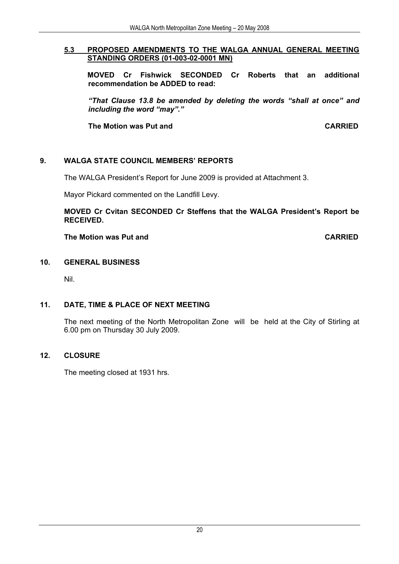#### **5.3 PROPOSED AMENDMENTS TO THE WALGA ANNUAL GENERAL MEETING STANDING ORDERS (01-003-02-0001 MN)**

 **MOVED Cr Fishwick SECONDED Cr Roberts that an additional recommendation be ADDED to read:** 

*"That Clause 13.8 be amended by deleting the words "shall at once" and including the word "may"."* 

**The Motion was Put and CARRIED** 

#### **9. WALGA STATE COUNCIL MEMBERS' REPORTS**

The WALGA President's Report for June 2009 is provided at Attachment 3.

Mayor Pickard commented on the Landfill Levy.

**MOVED Cr Cvitan SECONDED Cr Steffens that the WALGA President's Report be RECEIVED.** 

#### **The Motion was Put and CARRIED**

#### **10. GENERAL BUSINESS**

Nil.

#### **11. DATE, TIME & PLACE OF NEXT MEETING**

The next meeting of the North Metropolitan Zone will be held at the City of Stirling at 6.00 pm on Thursday 30 July 2009.

#### **12. CLOSURE**

The meeting closed at 1931 hrs.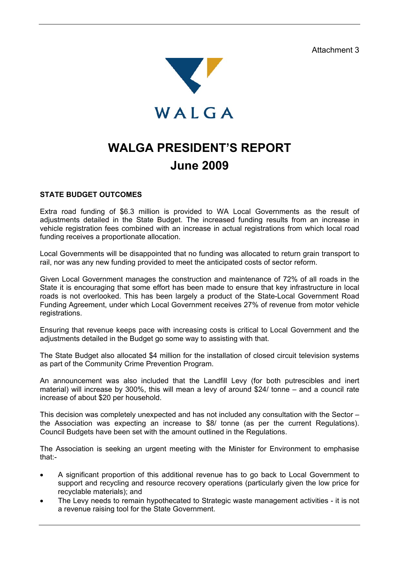Attachment 3



### **WALGA PRESIDENT'S REPORT June 2009**

#### **STATE BUDGET OUTCOMES**

Extra road funding of \$6.3 million is provided to WA Local Governments as the result of adjustments detailed in the State Budget. The increased funding results from an increase in vehicle registration fees combined with an increase in actual registrations from which local road funding receives a proportionate allocation.

Local Governments will be disappointed that no funding was allocated to return grain transport to rail, nor was any new funding provided to meet the anticipated costs of sector reform.

Given Local Government manages the construction and maintenance of 72% of all roads in the State it is encouraging that some effort has been made to ensure that key infrastructure in local roads is not overlooked. This has been largely a product of the State-Local Government Road Funding Agreement, under which Local Government receives 27% of revenue from motor vehicle registrations.

Ensuring that revenue keeps pace with increasing costs is critical to Local Government and the adjustments detailed in the Budget go some way to assisting with that.

The State Budget also allocated \$4 million for the installation of closed circuit television systems as part of the Community Crime Prevention Program.

An announcement was also included that the Landfill Levy (for both putrescibles and inert material) will increase by 300%, this will mean a levy of around \$24/ tonne – and a council rate increase of about \$20 per household.

This decision was completely unexpected and has not included any consultation with the Sector – the Association was expecting an increase to \$8/ tonne (as per the current Regulations). Council Budgets have been set with the amount outlined in the Regulations.

The Association is seeking an urgent meeting with the Minister for Environment to emphasise that:-

- A significant proportion of this additional revenue has to go back to Local Government to support and recycling and resource recovery operations (particularly given the low price for recyclable materials); and
- The Levy needs to remain hypothecated to Strategic waste management activities it is not a revenue raising tool for the State Government.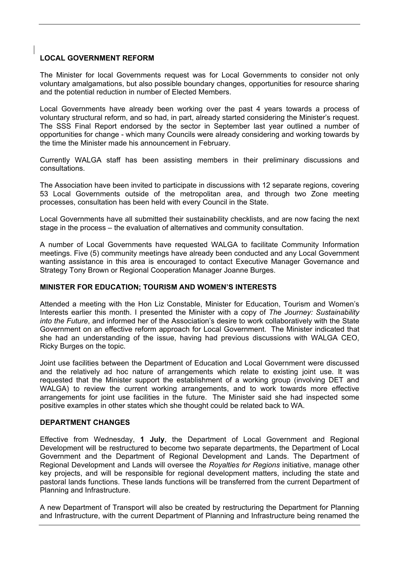#### **LOCAL GOVERNMENT REFORM**

The Minister for local Governments request was for Local Governments to consider not only voluntary amalgamations, but also possible boundary changes, opportunities for resource sharing and the potential reduction in number of Elected Members.

Local Governments have already been working over the past 4 years towards a process of voluntary structural reform, and so had, in part, already started considering the Minister's request. The SSS Final Report endorsed by the sector in September last year outlined a number of opportunities for change - which many Councils were already considering and working towards by the time the Minister made his announcement in February.

Currently WALGA staff has been assisting members in their preliminary discussions and consultations.

The Association have been invited to participate in discussions with 12 separate regions, covering 53 Local Governments outside of the metropolitan area, and through two Zone meeting processes, consultation has been held with every Council in the State.

Local Governments have all submitted their sustainability checklists, and are now facing the next stage in the process – the evaluation of alternatives and community consultation.

A number of Local Governments have requested WALGA to facilitate Community Information meetings. Five (5) community meetings have already been conducted and any Local Government wanting assistance in this area is encouraged to contact Executive Manager Governance and Strategy Tony Brown or Regional Cooperation Manager Joanne Burges.

#### **MINISTER FOR EDUCATION; TOURISM AND WOMEN'S INTERESTS**

Attended a meeting with the Hon Liz Constable, Minister for Education, Tourism and Women's Interests earlier this month. I presented the Minister with a copy of *The Journey: Sustainability into the Future*, and informed her of the Association's desire to work collaboratively with the State Government on an effective reform approach for Local Government. The Minister indicated that she had an understanding of the issue, having had previous discussions with WALGA CEO, Ricky Burges on the topic.

Joint use facilities between the Department of Education and Local Government were discussed and the relatively ad hoc nature of arrangements which relate to existing joint use. It was requested that the Minister support the establishment of a working group (involving DET and WALGA) to review the current working arrangements, and to work towards more effective arrangements for joint use facilities in the future. The Minister said she had inspected some positive examples in other states which she thought could be related back to WA.

#### **DEPARTMENT CHANGES**

Effective from Wednesday, **1 July**, the Department of Local Government and Regional Development will be restructured to become two separate departments, the Department of Local Government and the Department of Regional Development and Lands. The Department of Regional Development and Lands will oversee the *Royalties for Regions* initiative, manage other key projects, and will be responsible for regional development matters, including the state and pastoral lands functions. These lands functions will be transferred from the current Department of Planning and Infrastructure.

A new Department of Transport will also be created by restructuring the Department for Planning and Infrastructure, with the current Department of Planning and Infrastructure being renamed the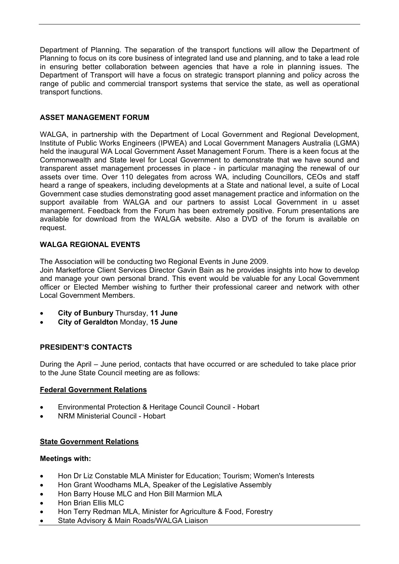Department of Planning. The separation of the transport functions will allow the Department of Planning to focus on its core business of integrated land use and planning, and to take a lead role in ensuring better collaboration between agencies that have a role in planning issues. The Department of Transport will have a focus on strategic transport planning and policy across the range of public and commercial transport systems that service the state, as well as operational transport functions.

#### **ASSET MANAGEMENT FORUM**

WALGA, in partnership with the Department of Local Government and Regional Development, Institute of Public Works Engineers (IPWEA) and Local Government Managers Australia (LGMA) held the inaugural WA Local Government Asset Management Forum. There is a keen focus at the Commonwealth and State level for Local Government to demonstrate that we have sound and transparent asset management processes in place - in particular managing the renewal of our assets over time. Over 110 delegates from across WA, including Councillors, CEOs and staff heard a range of speakers, including developments at a State and national level, a suite of Local Government case studies demonstrating good asset management practice and information on the support available from WALGA and our partners to assist Local Government in u asset management. Feedback from the Forum has been extremely positive. Forum presentations are available for download from the WALGA website. Also a DVD of the forum is available on request.

#### **WALGA REGIONAL EVENTS**

The Association will be conducting two Regional Events in June 2009.

Join Marketforce Client Services Director Gavin Bain as he provides insights into how to develop and manage your own personal brand. This event would be valuable for any Local Government officer or Elected Member wishing to further their professional career and network with other Local Government Members.

- **City of Bunbury** Thursday, **11 June**
- **City of Geraldton** Monday, **15 June**

#### **PRESIDENT'S CONTACTS**

During the April – June period, contacts that have occurred or are scheduled to take place prior to the June State Council meeting are as follows:

#### **Federal Government Relations**

- Environmental Protection & Heritage Council Council Hobart
- NRM Ministerial Council Hobart

#### **State Government Relations**

#### **Meetings with:**

- Hon Dr Liz Constable MLA Minister for Education; Tourism; Women's Interests
- Hon Grant Woodhams MLA, Speaker of the Legislative Assembly
- Hon Barry House MLC and Hon Bill Marmion MLA
- Hon Brian Ellis MLC
- Hon Terry Redman MLA, Minister for Agriculture & Food, Forestry
- State Advisory & Main Roads/WALGA Liaison